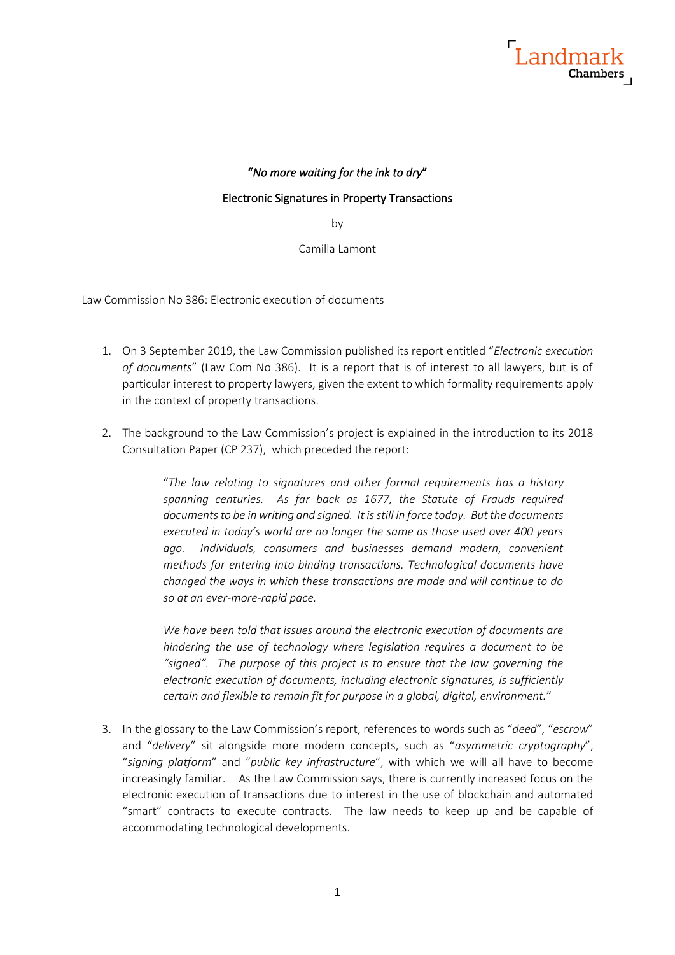

## "*No more waiting for the ink to dry*"

## Electronic Signatures in Property Transactions

by

Camilla Lamont

#### Law Commission No 386: Electronic execution of documents

- 1. On 3 September 2019, the Law Commission published its report entitled "*Electronic execution of documents*" (Law Com No 386). It is a report that is of interest to all lawyers, but is of particular interest to property lawyers, given the extent to which formality requirements apply in the context of property transactions.
- 2. The background to the Law Commission's project is explained in the introduction to its 2018 Consultation Paper (CP 237), which preceded the report:

"*The law relating to signatures and other formal requirements has a history spanning centuries. As far back as 1677, the Statute of Frauds required documents to be in writing and signed. It is still in force today. But the documents executed in today's world are no longer the same as those used over 400 years ago. Individuals, consumers and businesses demand modern, convenient methods for entering into binding transactions. Technological documents have changed the ways in which these transactions are made and will continue to do so at an ever-more-rapid pace.*

*We have been told that issues around the electronic execution of documents are hindering the use of technology where legislation requires a document to be "signed". The purpose of this project is to ensure that the law governing the electronic execution of documents, including electronic signatures, is sufficiently certain and flexible to remain fit for purpose in a global, digital, environment.*"

3. In the glossary to the Law Commission's report, references to words such as "*deed*", "*escrow*" and "*delivery*" sit alongside more modern concepts, such as "*asymmetric cryptography*", "*signing platform*" and "*public key infrastructure*", with which we will all have to become increasingly familiar. As the Law Commission says, there is currently increased focus on the electronic execution of transactions due to interest in the use of blockchain and automated "smart" contracts to execute contracts. The law needs to keep up and be capable of accommodating technological developments.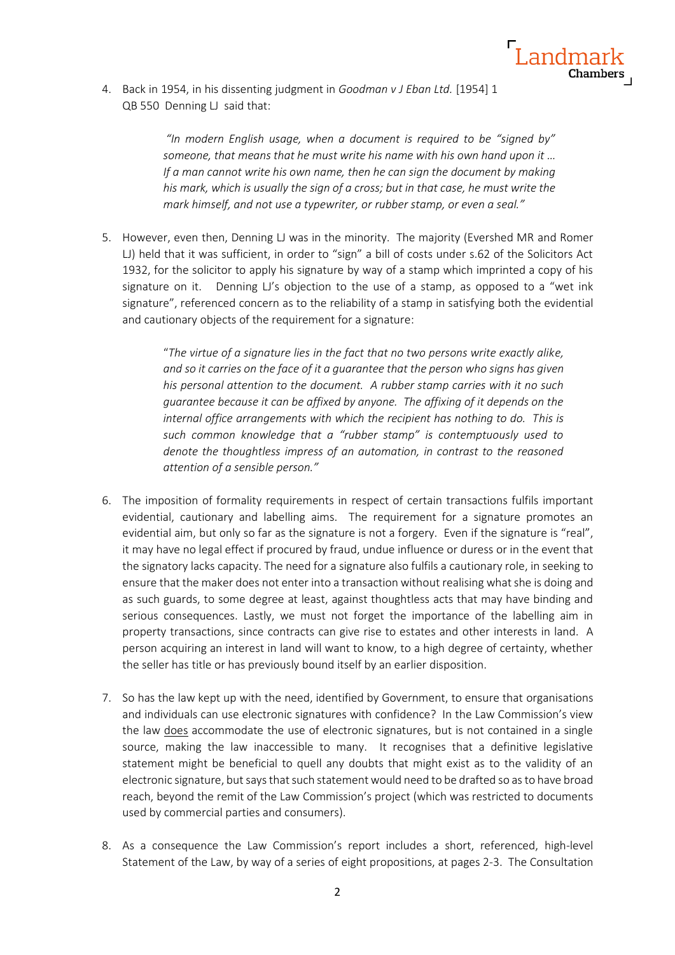

4. Back in 1954, in his dissenting judgment in *Goodman v J Eban Ltd.* [1954] 1 QB 550 Denning LJ said that:

> *"In modern English usage, when a document is required to be "signed by" someone, that means that he must write his name with his own hand upon it … If a man cannot write his own name, then he can sign the document by making his mark, which is usually the sign of a cross; but in that case, he must write the mark himself, and not use a typewriter, or rubber stamp, or even a seal."*

5. However, even then, Denning LJ was in the minority. The majority (Evershed MR and Romer LJ) held that it was sufficient, in order to "sign" a bill of costs under s.62 of the Solicitors Act 1932, for the solicitor to apply his signature by way of a stamp which imprinted a copy of his signature on it. Denning LJ's objection to the use of a stamp, as opposed to a "wet ink signature", referenced concern as to the reliability of a stamp in satisfying both the evidential and cautionary objects of the requirement for a signature:

> "*The virtue of a signature lies in the fact that no two persons write exactly alike, and so it carries on the face of it a guarantee that the person who signs has given his personal attention to the document. A rubber stamp carries with it no such guarantee because it can be affixed by anyone. The affixing of it depends on the internal office arrangements with which the recipient has nothing to do. This is such common knowledge that a "rubber stamp" is contemptuously used to denote the thoughtless impress of an automation, in contrast to the reasoned attention of a sensible person."*

- 6. The imposition of formality requirements in respect of certain transactions fulfils important evidential, cautionary and labelling aims. The requirement for a signature promotes an evidential aim, but only so far as the signature is not a forgery. Even if the signature is "real", it may have no legal effect if procured by fraud, undue influence or duress or in the event that the signatory lacks capacity. The need for a signature also fulfils a cautionary role, in seeking to ensure that the maker does not enter into a transaction without realising what she is doing and as such guards, to some degree at least, against thoughtless acts that may have binding and serious consequences. Lastly, we must not forget the importance of the labelling aim in property transactions, since contracts can give rise to estates and other interests in land. A person acquiring an interest in land will want to know, to a high degree of certainty, whether the seller has title or has previously bound itself by an earlier disposition.
- 7. So has the law kept up with the need, identified by Government, to ensure that organisations and individuals can use electronic signatures with confidence? In the Law Commission's view the law does accommodate the use of electronic signatures, but is not contained in a single source, making the law inaccessible to many. It recognises that a definitive legislative statement might be beneficial to quell any doubts that might exist as to the validity of an electronic signature, but says that such statement would need to be drafted so as to have broad reach, beyond the remit of the Law Commission's project (which was restricted to documents used by commercial parties and consumers).
- 8. As a consequence the Law Commission's report includes a short, referenced, high-level Statement of the Law, by way of a series of eight propositions, at pages 2-3. The Consultation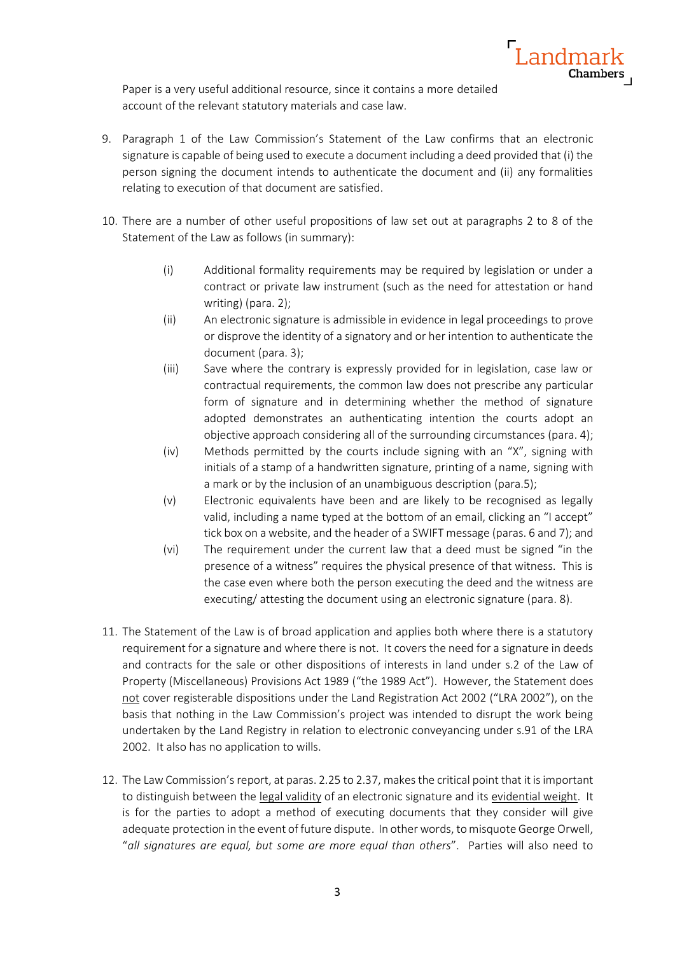

Paper is a very useful additional resource, since it contains a more detailed account of the relevant statutory materials and case law.

- 9. Paragraph 1 of the Law Commission's Statement of the Law confirms that an electronic signature is capable of being used to execute a document including a deed provided that (i) the person signing the document intends to authenticate the document and (ii) any formalities relating to execution of that document are satisfied.
- 10. There are a number of other useful propositions of law set out at paragraphs 2 to 8 of the Statement of the Law as follows (in summary):
	- (i) Additional formality requirements may be required by legislation or under a contract or private law instrument (such as the need for attestation or hand writing) (para. 2);
	- (ii) An electronic signature is admissible in evidence in legal proceedings to prove or disprove the identity of a signatory and or her intention to authenticate the document (para. 3);
	- (iii) Save where the contrary is expressly provided for in legislation, case law or contractual requirements, the common law does not prescribe any particular form of signature and in determining whether the method of signature adopted demonstrates an authenticating intention the courts adopt an objective approach considering all of the surrounding circumstances (para. 4);
	- (iv) Methods permitted by the courts include signing with an "X", signing with initials of a stamp of a handwritten signature, printing of a name, signing with a mark or by the inclusion of an unambiguous description (para.5);
	- (v) Electronic equivalents have been and are likely to be recognised as legally valid, including a name typed at the bottom of an email, clicking an "I accept" tick box on a website, and the header of a SWIFT message (paras. 6 and 7); and
	- (vi) The requirement under the current law that a deed must be signed "in the presence of a witness" requires the physical presence of that witness. This is the case even where both the person executing the deed and the witness are executing/ attesting the document using an electronic signature (para. 8).
- 11. The Statement of the Law is of broad application and applies both where there is a statutory requirement for a signature and where there is not. It covers the need for a signature in deeds and contracts for the sale or other dispositions of interests in land under s.2 of the Law of Property (Miscellaneous) Provisions Act 1989 ("the 1989 Act"). However, the Statement does not cover registerable dispositions under the Land Registration Act 2002 ("LRA 2002"), on the basis that nothing in the Law Commission's project was intended to disrupt the work being undertaken by the Land Registry in relation to electronic conveyancing under s.91 of the LRA 2002. It also has no application to wills.
- 12. The Law Commission's report, at paras. 2.25 to 2.37, makes the critical point that it is important to distinguish between the legal validity of an electronic signature and its evidential weight. It is for the parties to adopt a method of executing documents that they consider will give adequate protection in the event of future dispute. In other words, to misquote George Orwell, "*all signatures are equal, but some are more equal than others*". Parties will also need to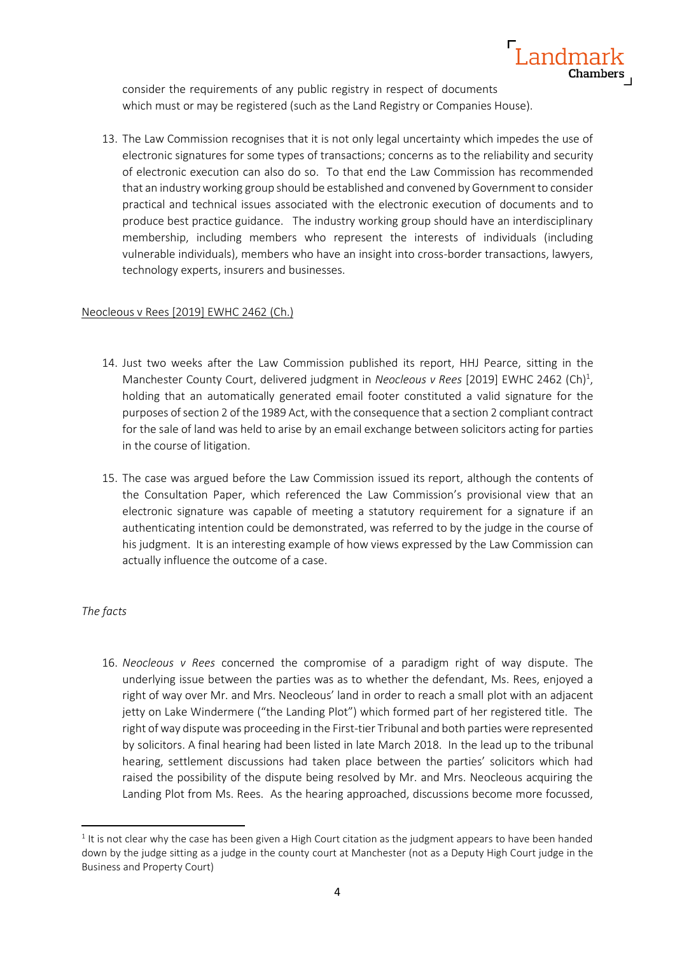

consider the requirements of any public registry in respect of documents which must or may be registered (such as the Land Registry or Companies House).

13. The Law Commission recognises that it is not only legal uncertainty which impedes the use of electronic signatures for some types of transactions; concerns as to the reliability and security of electronic execution can also do so. To that end the Law Commission has recommended that an industry working group should be established and convened by Government to consider practical and technical issues associated with the electronic execution of documents and to produce best practice guidance. The industry working group should have an interdisciplinary membership, including members who represent the interests of individuals (including vulnerable individuals), members who have an insight into cross-border transactions, lawyers, technology experts, insurers and businesses.

### Neocleous v Rees [2019] EWHC 2462 (Ch.)

- 14. Just two weeks after the Law Commission published its report, HHJ Pearce, sitting in the Manchester County Court, delivered judgment in *Neocleous v Rees* [2019] EWHC 2462 (Ch)<sup>1</sup>, holding that an automatically generated email footer constituted a valid signature for the purposes of section 2 of the 1989 Act, with the consequence that a section 2 compliant contract for the sale of land was held to arise by an email exchange between solicitors acting for parties in the course of litigation.
- 15. The case was argued before the Law Commission issued its report, although the contents of the Consultation Paper, which referenced the Law Commission's provisional view that an electronic signature was capable of meeting a statutory requirement for a signature if an authenticating intention could be demonstrated, was referred to by the judge in the course of his judgment. It is an interesting example of how views expressed by the Law Commission can actually influence the outcome of a case.

### *The facts*

16. *Neocleous v Rees* concerned the compromise of a paradigm right of way dispute. The underlying issue between the parties was as to whether the defendant, Ms. Rees, enjoyed a right of way over Mr. and Mrs. Neocleous' land in order to reach a small plot with an adjacent jetty on Lake Windermere ("the Landing Plot") which formed part of her registered title. The right of way dispute was proceeding in the First-tier Tribunal and both parties were represented by solicitors. A final hearing had been listed in late March 2018. In the lead up to the tribunal hearing, settlement discussions had taken place between the parties' solicitors which had raised the possibility of the dispute being resolved by Mr. and Mrs. Neocleous acquiring the Landing Plot from Ms. Rees. As the hearing approached, discussions become more focussed,

 $1$  It is not clear why the case has been given a High Court citation as the judgment appears to have been handed down by the judge sitting as a judge in the county court at Manchester (not as a Deputy High Court judge in the Business and Property Court)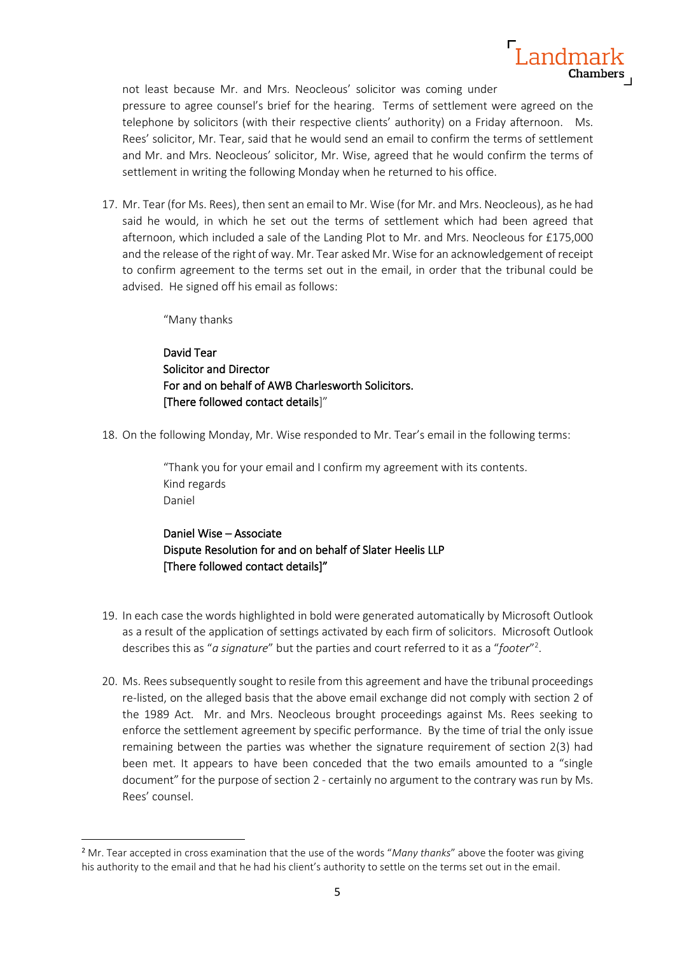

not least because Mr. and Mrs. Neocleous' solicitor was coming under pressure to agree counsel's brief for the hearing. Terms of settlement were agreed on the telephone by solicitors (with their respective clients' authority) on a Friday afternoon. Ms. Rees' solicitor, Mr. Tear, said that he would send an email to confirm the terms of settlement and Mr. and Mrs. Neocleous' solicitor, Mr. Wise, agreed that he would confirm the terms of settlement in writing the following Monday when he returned to his office.

17. Mr. Tear (for Ms. Rees), then sent an email to Mr. Wise (for Mr. and Mrs. Neocleous), as he had said he would, in which he set out the terms of settlement which had been agreed that afternoon, which included a sale of the Landing Plot to Mr. and Mrs. Neocleous for £175,000 and the release of the right of way. Mr. Tear asked Mr. Wise for an acknowledgement of receipt to confirm agreement to the terms set out in the email, in order that the tribunal could be advised. He signed off his email as follows:

"Many thanks

David Tear Solicitor and Director For and on behalf of AWB Charlesworth Solicitors. [There followed contact details]"

18. On the following Monday, Mr. Wise responded to Mr. Tear's email in the following terms:

"Thank you for your email and I confirm my agreement with its contents. Kind regards Daniel

Daniel Wise – Associate Dispute Resolution for and on behalf of Slater Heelis LLP [There followed contact details]"

- 19. In each case the words highlighted in bold were generated automatically by Microsoft Outlook as a result of the application of settings activated by each firm of solicitors. Microsoft Outlook describes this as "*a signature*" but the parties and court referred to it as a "*footer*" 2 .
- 20. Ms. Rees subsequently sought to resile from this agreement and have the tribunal proceedings re-listed, on the alleged basis that the above email exchange did not comply with section 2 of the 1989 Act. Mr. and Mrs. Neocleous brought proceedings against Ms. Rees seeking to enforce the settlement agreement by specific performance. By the time of trial the only issue remaining between the parties was whether the signature requirement of section 2(3) had been met. It appears to have been conceded that the two emails amounted to a "single document" for the purpose of section 2 - certainly no argument to the contrary was run by Ms. Rees' counsel.

<sup>2</sup> Mr. Tear accepted in cross examination that the use of the words "*Many thanks*" above the footer was giving his authority to the email and that he had his client's authority to settle on the terms set out in the email.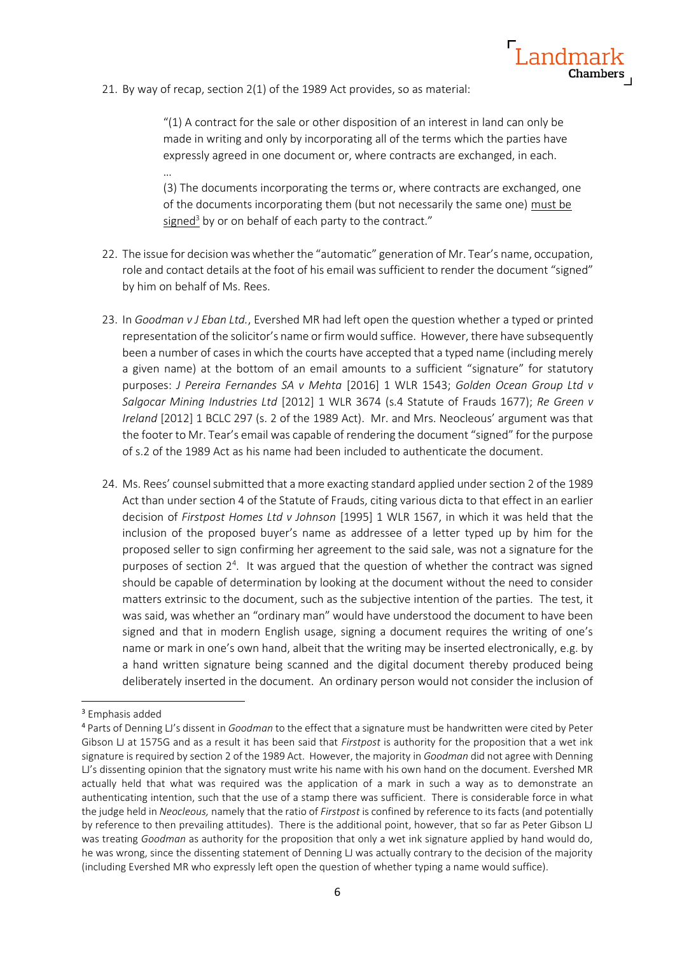

21. By way of recap, section 2(1) of the 1989 Act provides, so as material:

…

 $''(1)$  A contract for the sale or other disposition of an interest in land can only be made in writing and only by incorporating all of the terms which the parties have expressly agreed in one document or, where contracts are exchanged, in each.

(3) The documents incorporating the terms or, where contracts are exchanged, one of the documents incorporating them (but not necessarily the same one) must be signed<sup>3</sup> by or on behalf of each party to the contract."

- 22. The issue for decision was whether the "automatic" generation of Mr. Tear's name, occupation, role and contact details at the foot of his email was sufficient to render the document "signed" by him on behalf of Ms. Rees.
- 23. In *Goodman v J Eban Ltd.*, Evershed MR had left open the question whether a typed or printed representation of the solicitor's name or firm would suffice. However, there have subsequently been a number of cases in which the courts have accepted that a typed name (including merely a given name) at the bottom of an email amounts to a sufficient "signature" for statutory purposes: *J Pereira Fernandes SA v Mehta* [2016] 1 WLR 1543; *Golden Ocean Group Ltd v Salgocar Mining Industries Ltd* [2012] 1 WLR 3674 (s.4 Statute of Frauds 1677); *Re Green v Ireland* [2012] 1 BCLC 297 (s. 2 of the 1989 Act). Mr. and Mrs. Neocleous' argument was that the footer to Mr. Tear's email was capable of rendering the document "signed" for the purpose of s.2 of the 1989 Act as his name had been included to authenticate the document.
- 24. Ms. Rees' counsel submitted that a more exacting standard applied under section 2 of the 1989 Act than under section 4 of the Statute of Frauds, citing various dicta to that effect in an earlier decision of *Firstpost Homes Ltd v Johnson* [1995] 1 WLR 1567, in which it was held that the inclusion of the proposed buyer's name as addressee of a letter typed up by him for the proposed seller to sign confirming her agreement to the said sale, was not a signature for the purposes of section  $2<sup>4</sup>$ . It was argued that the question of whether the contract was signed should be capable of determination by looking at the document without the need to consider matters extrinsic to the document, such as the subjective intention of the parties. The test, it was said, was whether an "ordinary man" would have understood the document to have been signed and that in modern English usage, signing a document requires the writing of one's name or mark in one's own hand, albeit that the writing may be inserted electronically, e.g. by a hand written signature being scanned and the digital document thereby produced being deliberately inserted in the document. An ordinary person would not consider the inclusion of

<sup>3</sup> Emphasis added

<sup>4</sup> Parts of Denning LJ's dissent in *Goodman* to the effect that a signature must be handwritten were cited by Peter Gibson LJ at 1575G and as a result it has been said that *Firstpost* is authority for the proposition that a wet ink signature is required by section 2 of the 1989 Act. However, the majority in *Goodman* did not agree with Denning LJ's dissenting opinion that the signatory must write his name with his own hand on the document. Evershed MR actually held that what was required was the application of a mark in such a way as to demonstrate an authenticating intention, such that the use of a stamp there was sufficient. There is considerable force in what the judge held in *Neocleous,* namely that the ratio of *Firstpost* is confined by reference to its facts (and potentially by reference to then prevailing attitudes). There is the additional point, however, that so far as Peter Gibson LJ was treating *Goodman* as authority for the proposition that only a wet ink signature applied by hand would do, he was wrong, since the dissenting statement of Denning LJ was actually contrary to the decision of the majority (including Evershed MR who expressly left open the question of whether typing a name would suffice).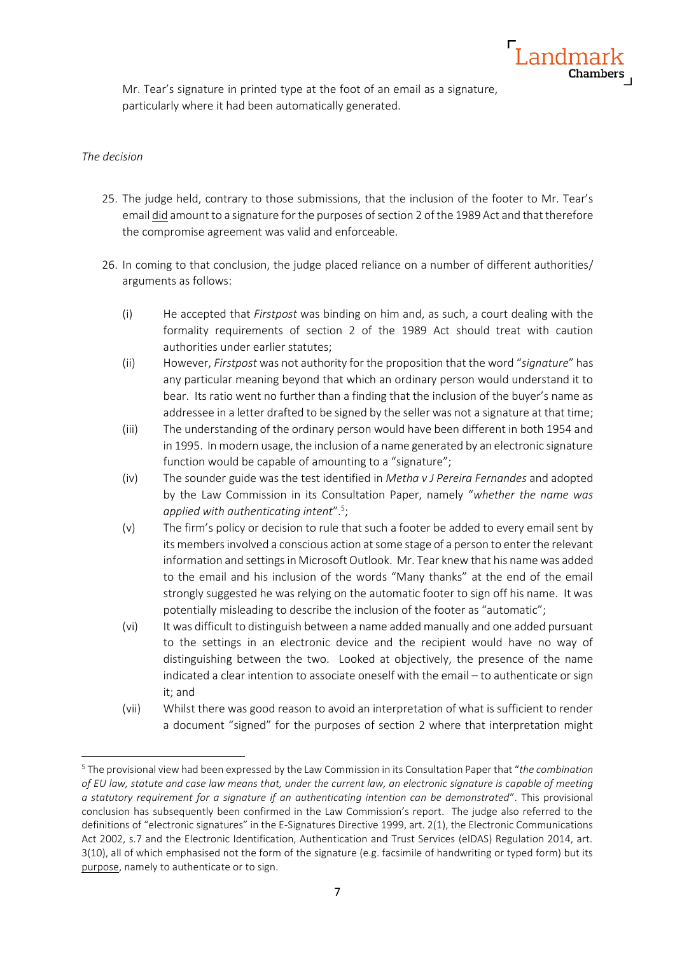

Mr. Tear's signature in printed type at the foot of an email as a signature, particularly where it had been automatically generated.

### *The decision*

- 25. The judge held, contrary to those submissions, that the inclusion of the footer to Mr. Tear's email did amount to a signature for the purposes of section 2 of the 1989 Act and that therefore the compromise agreement was valid and enforceable.
- 26. In coming to that conclusion, the judge placed reliance on a number of different authorities/ arguments as follows:
	- (i) He accepted that *Firstpost* was binding on him and, as such, a court dealing with the formality requirements of section 2 of the 1989 Act should treat with caution authorities under earlier statutes;
	- (ii) However, *Firstpost* was not authority for the proposition that the word "*signature*" has any particular meaning beyond that which an ordinary person would understand it to bear. Its ratio went no further than a finding that the inclusion of the buyer's name as addressee in a letter drafted to be signed by the seller was not a signature at that time;
	- (iii) The understanding of the ordinary person would have been different in both 1954 and in 1995. In modern usage, the inclusion of a name generated by an electronic signature function would be capable of amounting to a "signature";
	- (iv) The sounder guide was the test identified in *Metha v J Pereira Fernandes* and adopted by the Law Commission in its Consultation Paper, namely "*whether the name was applied with authenticating intent*".<sup>5</sup> ;
	- (v) The firm's policy or decision to rule that such a footer be added to every email sent by its members involved a conscious action at some stage of a person to enter the relevant information and settings in Microsoft Outlook. Mr. Tear knew that his name was added to the email and his inclusion of the words "Many thanks" at the end of the email strongly suggested he was relying on the automatic footer to sign off his name. It was potentially misleading to describe the inclusion of the footer as "automatic";
	- (vi) It was difficult to distinguish between a name added manually and one added pursuant to the settings in an electronic device and the recipient would have no way of distinguishing between the two. Looked at objectively, the presence of the name indicated a clear intention to associate oneself with the email – to authenticate or sign it; and
	- (vii) Whilst there was good reason to avoid an interpretation of what is sufficient to render a document "signed" for the purposes of section 2 where that interpretation might

<sup>5</sup> The provisional view had been expressed by the Law Commission in its Consultation Paper that "*the combination of EU law, statute and case law means that, under the current law, an electronic signature is capable of meeting a statutory requirement for a signature if an authenticating intention can be demonstrated*". This provisional conclusion has subsequently been confirmed in the Law Commission's report. The judge also referred to the definitions of "electronic signatures" in the E-Signatures Directive 1999, art. 2(1), the Electronic Communications Act 2002, s.7 and the Electronic Identification, Authentication and Trust Services (eIDAS) Regulation 2014, art. 3(10), all of which emphasised not the form of the signature (e.g. facsimile of handwriting or typed form) but its purpose, namely to authenticate or to sign.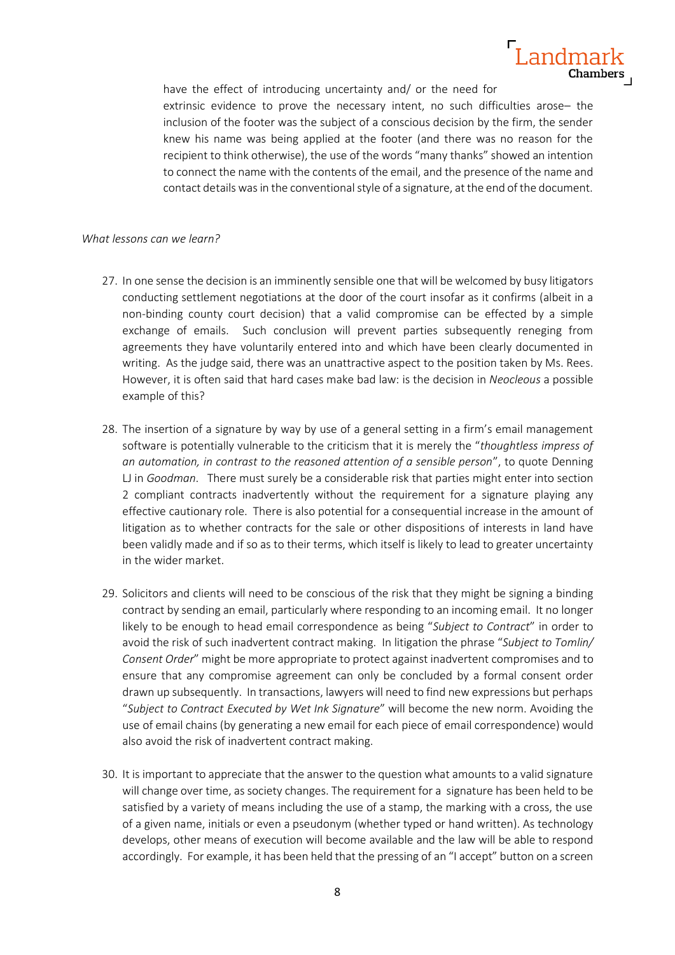# Landmark **Chambers**

have the effect of introducing uncertainty and/ or the need for extrinsic evidence to prove the necessary intent, no such difficulties arose– the inclusion of the footer was the subject of a conscious decision by the firm, the sender knew his name was being applied at the footer (and there was no reason for the recipient to think otherwise), the use of the words "many thanks" showed an intention to connect the name with the contents of the email, and the presence of the name and contact details was in the conventional style of a signature, at the end of the document.

## *What lessons can we learn?*

- 27. In one sense the decision is an imminently sensible one that will be welcomed by busy litigators conducting settlement negotiations at the door of the court insofar as it confirms (albeit in a non-binding county court decision) that a valid compromise can be effected by a simple exchange of emails. Such conclusion will prevent parties subsequently reneging from agreements they have voluntarily entered into and which have been clearly documented in writing. As the judge said, there was an unattractive aspect to the position taken by Ms. Rees. However, it is often said that hard cases make bad law: is the decision in *Neocleous* a possible example of this?
- 28. The insertion of a signature by way by use of a general setting in a firm's email management software is potentially vulnerable to the criticism that it is merely the "*thoughtless impress of an automation, in contrast to the reasoned attention of a sensible person*", to quote Denning LJ in *Goodman*. There must surely be a considerable risk that parties might enter into section 2 compliant contracts inadvertently without the requirement for a signature playing any effective cautionary role. There is also potential for a consequential increase in the amount of litigation as to whether contracts for the sale or other dispositions of interests in land have been validly made and if so as to their terms, which itself is likely to lead to greater uncertainty in the wider market.
- 29. Solicitors and clients will need to be conscious of the risk that they might be signing a binding contract by sending an email, particularly where responding to an incoming email. It no longer likely to be enough to head email correspondence as being "*Subject to Contract*" in order to avoid the risk of such inadvertent contract making. In litigation the phrase "*Subject to Tomlin/ Consent Order*" might be more appropriate to protect against inadvertent compromises and to ensure that any compromise agreement can only be concluded by a formal consent order drawn up subsequently. In transactions, lawyers will need to find new expressions but perhaps "*Subject to Contract Executed by Wet Ink Signature*" will become the new norm. Avoiding the use of email chains (by generating a new email for each piece of email correspondence) would also avoid the risk of inadvertent contract making.
- 30. It is important to appreciate that the answer to the question what amounts to a valid signature will change over time, as society changes. The requirement for a signature has been held to be satisfied by a variety of means including the use of a stamp, the marking with a cross, the use of a given name, initials or even a pseudonym (whether typed or hand written). As technology develops, other means of execution will become available and the law will be able to respond accordingly. For example, it has been held that the pressing of an "I accept" button on a screen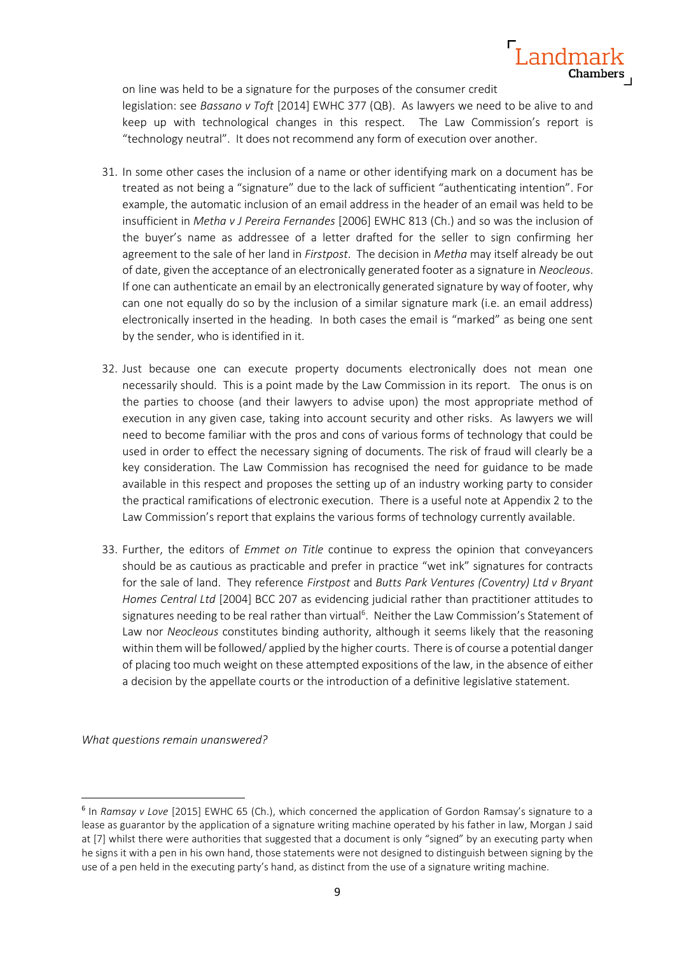

on line was held to be a signature for the purposes of the consumer credit legislation: see *Bassano v Toft* [2014] EWHC 377 (QB). As lawyers we need to be alive to and keep up with technological changes in this respect. The Law Commission's report is "technology neutral". It does not recommend any form of execution over another.

- 31. In some other cases the inclusion of a name or other identifying mark on a document has be treated as not being a "signature" due to the lack of sufficient "authenticating intention". For example, the automatic inclusion of an email address in the header of an email was held to be insufficient in *Metha v J Pereira Fernandes* [2006] EWHC 813 (Ch.) and so was the inclusion of the buyer's name as addressee of a letter drafted for the seller to sign confirming her agreement to the sale of her land in *Firstpost*. The decision in *Metha* may itself already be out of date, given the acceptance of an electronically generated footer as a signature in *Neocleous*. If one can authenticate an email by an electronically generated signature by way of footer, why can one not equally do so by the inclusion of a similar signature mark (i.e. an email address) electronically inserted in the heading. In both cases the email is "marked" as being one sent by the sender, who is identified in it.
- 32. Just because one can execute property documents electronically does not mean one necessarily should. This is a point made by the Law Commission in its report. The onus is on the parties to choose (and their lawyers to advise upon) the most appropriate method of execution in any given case, taking into account security and other risks. As lawyers we will need to become familiar with the pros and cons of various forms of technology that could be used in order to effect the necessary signing of documents. The risk of fraud will clearly be a key consideration. The Law Commission has recognised the need for guidance to be made available in this respect and proposes the setting up of an industry working party to consider the practical ramifications of electronic execution. There is a useful note at Appendix 2 to the Law Commission's report that explains the various forms of technology currently available.
- 33. Further, the editors of *Emmet on Title* continue to express the opinion that conveyancers should be as cautious as practicable and prefer in practice "wet ink" signatures for contracts for the sale of land. They reference *Firstpost* and *Butts Park Ventures (Coventry) Ltd v Bryant Homes Central Ltd* [2004] BCC 207 as evidencing judicial rather than practitioner attitudes to signatures needing to be real rather than virtual<sup>6</sup>. Neither the Law Commission's Statement of Law nor *Neocleous* constitutes binding authority, although it seems likely that the reasoning within them will be followed/ applied by the higher courts. There is of course a potential danger of placing too much weight on these attempted expositions of the law, in the absence of either a decision by the appellate courts or the introduction of a definitive legislative statement.

*What questions remain unanswered?*

<sup>6</sup> In *Ramsay v Love* [2015] EWHC 65 (Ch.), which concerned the application of Gordon Ramsay's signature to a lease as guarantor by the application of a signature writing machine operated by his father in law, Morgan J said at [7] whilst there were authorities that suggested that a document is only "signed" by an executing party when he signs it with a pen in his own hand, those statements were not designed to distinguish between signing by the use of a pen held in the executing party's hand, as distinct from the use of a signature writing machine.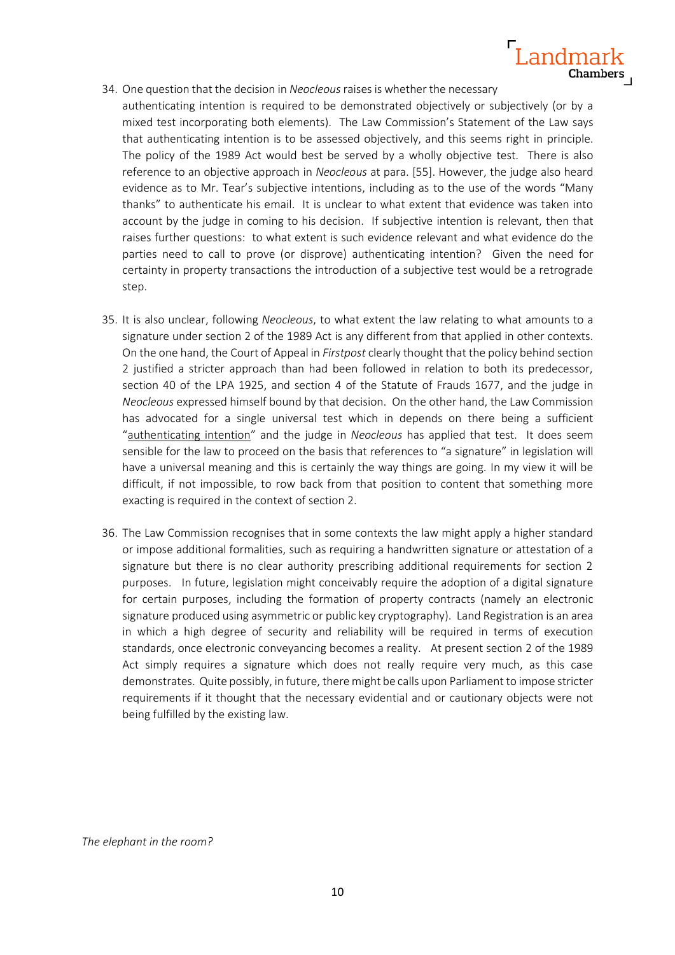

- 34. One question that the decision in *Neocleous*raises is whether the necessary
	- authenticating intention is required to be demonstrated objectively or subjectively (or by a mixed test incorporating both elements). The Law Commission's Statement of the Law says that authenticating intention is to be assessed objectively, and this seems right in principle. The policy of the 1989 Act would best be served by a wholly objective test. There is also reference to an objective approach in *Neocleous* at para. [55]. However, the judge also heard evidence as to Mr. Tear's subjective intentions, including as to the use of the words "Many thanks" to authenticate his email. It is unclear to what extent that evidence was taken into account by the judge in coming to his decision. If subjective intention is relevant, then that raises further questions: to what extent is such evidence relevant and what evidence do the parties need to call to prove (or disprove) authenticating intention? Given the need for certainty in property transactions the introduction of a subjective test would be a retrograde step.
- 35. It is also unclear, following *Neocleous*, to what extent the law relating to what amounts to a signature under section 2 of the 1989 Act is any different from that applied in other contexts. On the one hand, the Court of Appeal in *Firstpost* clearly thought that the policy behind section 2 justified a stricter approach than had been followed in relation to both its predecessor, section 40 of the LPA 1925, and section 4 of the Statute of Frauds 1677, and the judge in *Neocleous* expressed himself bound by that decision. On the other hand, the Law Commission has advocated for a single universal test which in depends on there being a sufficient "authenticating intention" and the judge in *Neocleous* has applied that test. It does seem sensible for the law to proceed on the basis that references to "a signature" in legislation will have a universal meaning and this is certainly the way things are going. In my view it will be difficult, if not impossible, to row back from that position to content that something more exacting is required in the context of section 2.
- 36. The Law Commission recognises that in some contexts the law might apply a higher standard or impose additional formalities, such as requiring a handwritten signature or attestation of a signature but there is no clear authority prescribing additional requirements for section 2 purposes. In future, legislation might conceivably require the adoption of a digital signature for certain purposes, including the formation of property contracts (namely an electronic signature produced using asymmetric or public key cryptography). Land Registration is an area in which a high degree of security and reliability will be required in terms of execution standards, once electronic conveyancing becomes a reality. At present section 2 of the 1989 Act simply requires a signature which does not really require very much, as this case demonstrates. Quite possibly, in future, there might be calls upon Parliament to impose stricter requirements if it thought that the necessary evidential and or cautionary objects were not being fulfilled by the existing law.

*The elephant in the room?*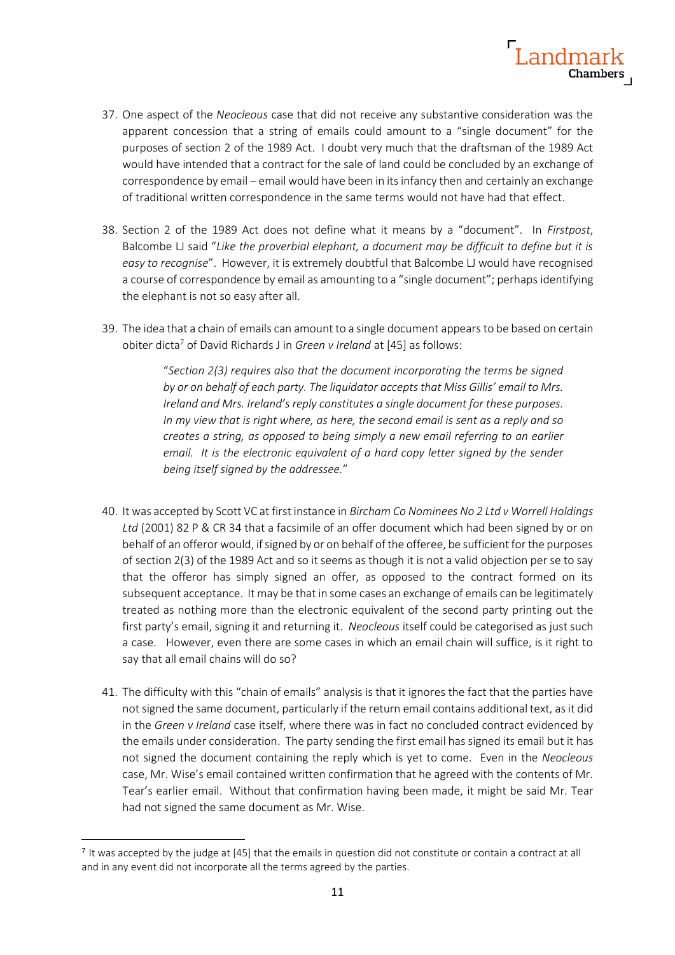

- 37. One aspect of the *Neocleous* case that did not receive any substantive consideration was the apparent concession that a string of emails could amount to a "single document" for the purposes of section 2 of the 1989 Act. I doubt very much that the draftsman of the 1989 Act would have intended that a contract for the sale of land could be concluded by an exchange of correspondence by email – email would have been in its infancy then and certainly an exchange of traditional written correspondence in the same terms would not have had that effect.
- 38. Section 2 of the 1989 Act does not define what it means by a "document". In *Firstpost*, Balcombe LJ said "*Like the proverbial elephant, a document may be difficult to define but it is easy to recognise*". However, it is extremely doubtful that Balcombe LJ would have recognised a course of correspondence by email as amounting to a "single document"; perhaps identifying the elephant is not so easy after all.
- 39. The idea that a chain of emails can amount to a single document appears to be based on certain obiter dicta<sup>7</sup> of David Richards J in *Green v Ireland* at [45] as follows:

"*Section 2(3) requires also that the document incorporating the terms be signed by or on behalf of each party. The liquidator accepts that Miss Gillis' email to Mrs. Ireland and Mrs. Ireland's reply constitutes a single document for these purposes. In my view that is right where, as here, the second email is sent as a reply and so creates a string, as opposed to being simply a new email referring to an earlier email. It is the electronic equivalent of a hard copy letter signed by the sender being itself signed by the addressee.*"

- 40. It was accepted by Scott VC at first instance in *Bircham Co Nominees No 2 Ltd v Worrell Holdings Ltd* (2001) 82 P & CR 34 that a facsimile of an offer document which had been signed by or on behalf of an offeror would, if signed by or on behalf of the offeree, be sufficient for the purposes of section 2(3) of the 1989 Act and so it seems as though it is not a valid objection per se to say that the offeror has simply signed an offer, as opposed to the contract formed on its subsequent acceptance. It may be that in some cases an exchange of emails can be legitimately treated as nothing more than the electronic equivalent of the second party printing out the first party's email, signing it and returning it. *Neocleous* itself could be categorised as just such a case. However, even there are some cases in which an email chain will suffice, is it right to say that all email chains will do so?
- 41. The difficulty with this "chain of emails" analysis is that it ignores the fact that the parties have not signed the same document, particularly if the return email contains additional text, as it did in the *Green v Ireland* case itself, where there was in fact no concluded contract evidenced by the emails under consideration. The party sending the first email has signed its email but it has not signed the document containing the reply which is yet to come. Even in the *Neocleous* case, Mr. Wise's email contained written confirmation that he agreed with the contents of Mr. Tear's earlier email. Without that confirmation having been made, it might be said Mr. Tear had not signed the same document as Mr. Wise.

<sup>&</sup>lt;sup>7</sup> It was accepted by the judge at [45] that the emails in question did not constitute or contain a contract at all and in any event did not incorporate all the terms agreed by the parties.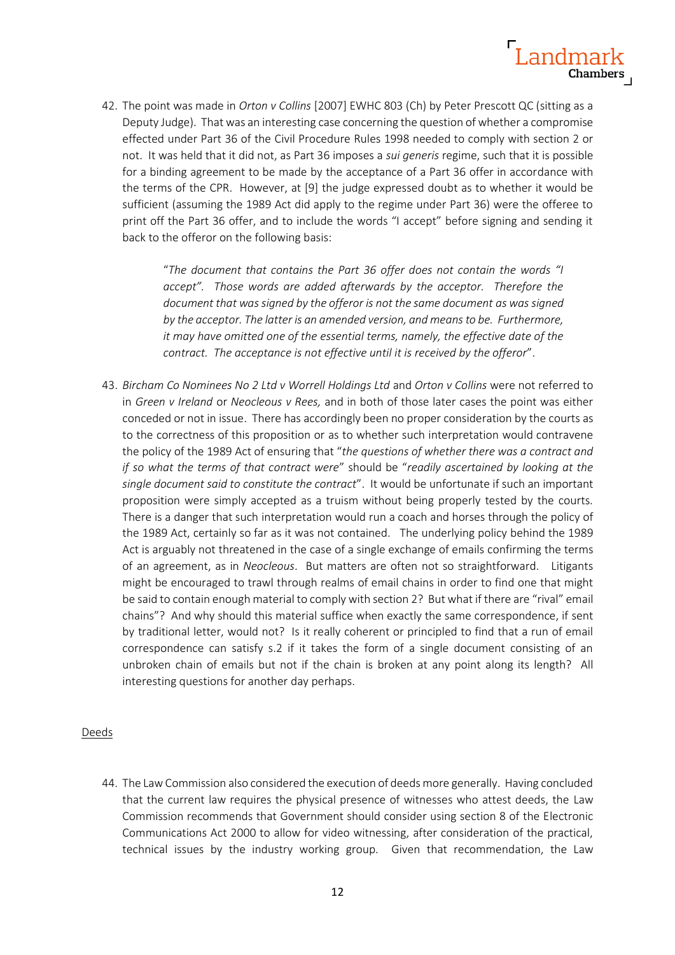

42. The point was made in *Orton v Collins* [2007] EWHC 803 (Ch) by Peter Prescott QC (sitting as a Deputy Judge). That was an interesting case concerning the question of whether a compromise effected under Part 36 of the Civil Procedure Rules 1998 needed to comply with section 2 or not. It was held that it did not, as Part 36 imposes a *sui generis* regime, such that it is possible for a binding agreement to be made by the acceptance of a Part 36 offer in accordance with the terms of the CPR. However, at [9] the judge expressed doubt as to whether it would be sufficient (assuming the 1989 Act did apply to the regime under Part 36) were the offeree to print off the Part 36 offer, and to include the words "I accept" before signing and sending it back to the offeror on the following basis:

> "*The document that contains the Part 36 offer does not contain the words "I accept". Those words are added afterwards by the acceptor. Therefore the document that was signed by the offeror is not the same document as was signed by the acceptor. The latter is an amended version, and means to be. Furthermore, it may have omitted one of the essential terms, namely, the effective date of the contract. The acceptance is not effective until it is received by the offeror*".

43. *Bircham Co Nominees No 2 Ltd v Worrell Holdings Ltd* and *Orton v Collins* were not referred to in *Green v Ireland* or *Neocleous v Rees,* and in both of those later cases the point was either conceded or not in issue. There has accordingly been no proper consideration by the courts as to the correctness of this proposition or as to whether such interpretation would contravene the policy of the 1989 Act of ensuring that "*the questions of whether there was a contract and if so what the terms of that contract were*" should be "*readily ascertained by looking at the single document said to constitute the contract*". It would be unfortunate if such an important proposition were simply accepted as a truism without being properly tested by the courts. There is a danger that such interpretation would run a coach and horses through the policy of the 1989 Act, certainly so far as it was not contained. The underlying policy behind the 1989 Act is arguably not threatened in the case of a single exchange of emails confirming the terms of an agreement, as in *Neocleous*. But matters are often not so straightforward. Litigants might be encouraged to trawl through realms of email chains in order to find one that might be said to contain enough material to comply with section 2? But what if there are "rival" email chains"? And why should this material suffice when exactly the same correspondence, if sent by traditional letter, would not? Is it really coherent or principled to find that a run of email correspondence can satisfy s.2 if it takes the form of a single document consisting of an unbroken chain of emails but not if the chain is broken at any point along its length? All interesting questions for another day perhaps.

### Deeds

44. The Law Commission also considered the execution of deeds more generally. Having concluded that the current law requires the physical presence of witnesses who attest deeds, the Law Commission recommends that Government should consider using section 8 of the Electronic Communications Act 2000 to allow for video witnessing, after consideration of the practical, technical issues by the industry working group. Given that recommendation, the Law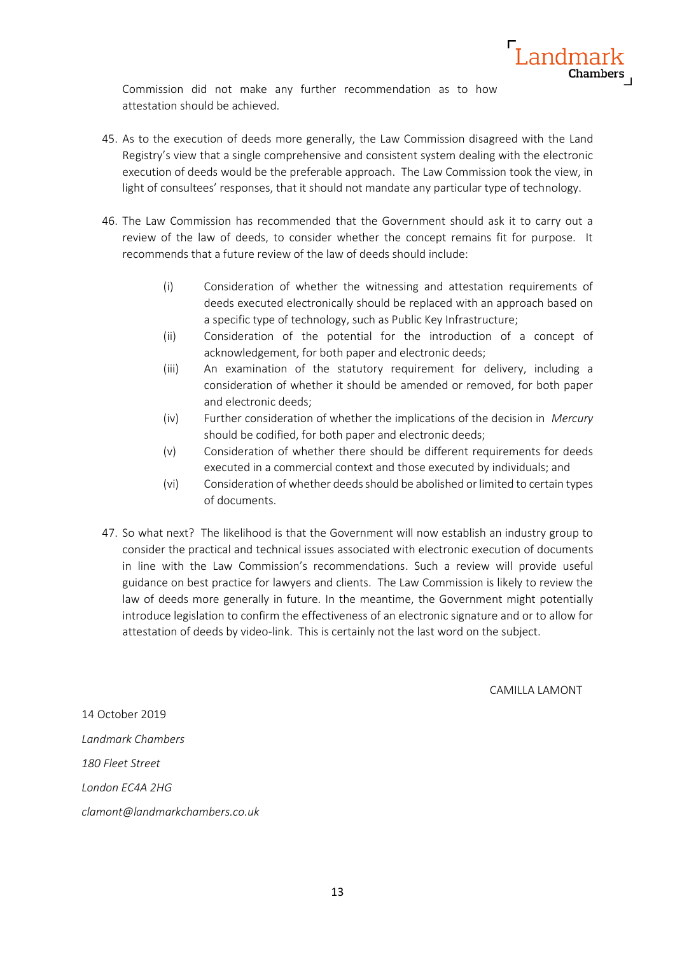

Commission did not make any further recommendation as to how attestation should be achieved.

- 45. As to the execution of deeds more generally, the Law Commission disagreed with the Land Registry's view that a single comprehensive and consistent system dealing with the electronic execution of deeds would be the preferable approach. The Law Commission took the view, in light of consultees' responses, that it should not mandate any particular type of technology.
- 46. The Law Commission has recommended that the Government should ask it to carry out a review of the law of deeds, to consider whether the concept remains fit for purpose. It recommends that a future review of the law of deeds should include:
	- (i) Consideration of whether the witnessing and attestation requirements of deeds executed electronically should be replaced with an approach based on a specific type of technology, such as Public Key Infrastructure;
	- (ii) Consideration of the potential for the introduction of a concept of acknowledgement, for both paper and electronic deeds;
	- (iii) An examination of the statutory requirement for delivery, including a consideration of whether it should be amended or removed, for both paper and electronic deeds;
	- (iv) Further consideration of whether the implications of the decision in *Mercury*  should be codified, for both paper and electronic deeds;
	- (v) Consideration of whether there should be different requirements for deeds executed in a commercial context and those executed by individuals; and
	- (vi) Consideration of whether deeds should be abolished or limited to certain types of documents.
- 47. So what next? The likelihood is that the Government will now establish an industry group to consider the practical and technical issues associated with electronic execution of documents in line with the Law Commission's recommendations. Such a review will provide useful guidance on best practice for lawyers and clients. The Law Commission is likely to review the law of deeds more generally in future. In the meantime, the Government might potentially introduce legislation to confirm the effectiveness of an electronic signature and or to allow for attestation of deeds by video-link. This is certainly not the last word on the subject.

CAMILLA LAMONT

14 October 2019 *Landmark Chambers 180 Fleet Street London EC4A 2HG clamont@landmarkchambers.co.uk*